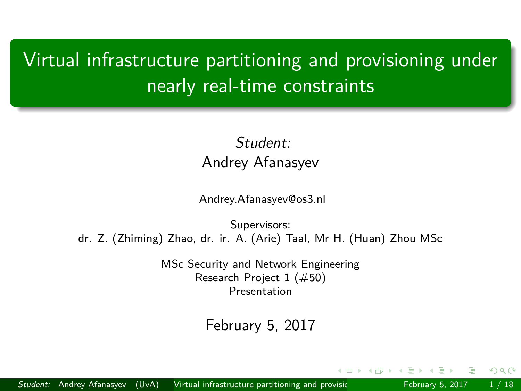## <span id="page-0-0"></span>Virtual infrastructure partitioning and provisioning under nearly real-time constraints

### Student: Andrey Afanasyev

Andrey.Afanasyev@os3.nl

Supervisors: dr. Z. (Zhiming) Zhao, dr. ir. A. (Arie) Taal, Mr H. (Huan) Zhou MSc

> MSc Security and Network Engineering Research Project 1 (#50) Presentation

#### February 5, 2017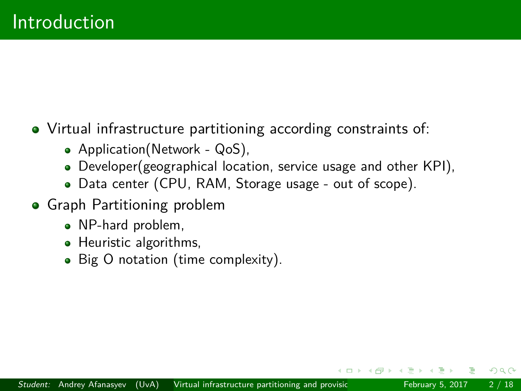## Virtual infrastructure partitioning according constraints of:

- Application(Network QoS),
- Developer(geographical location, service usage and other KPI),
- Data center (CPU, RAM, Storage usage out of scope).
- **•** Graph Partitioning problem
	- NP-hard problem,
	- Heuristic algorithms,
	- Big O notation (time complexity).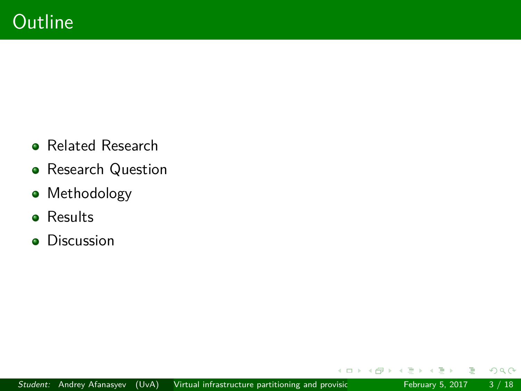- **Related Research**
- **•** Research Question
- Methodology
- **•** Results
- **•** Discussion

÷  $\sim$ э  $\mathbf{p}$ 

 $\mathbf{b}$ 

 $\sim$ 

4日下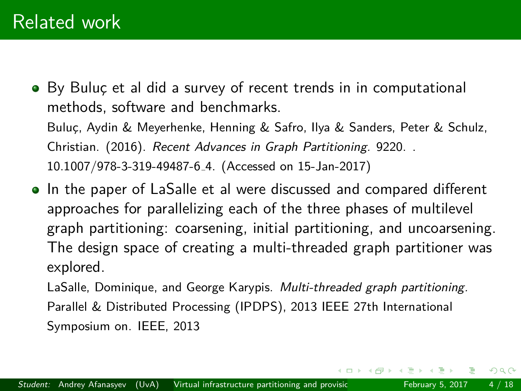- By Buluc et al did a survey of recent trends in in computational methods, software and benchmarks. Buluc¸, Aydin & Meyerhenke, Henning & Safro, Ilya & Sanders, Peter & Schulz, Christian. (2016). Recent Advances in Graph Partitioning. 9220. . 10.1007/978-3-319-49487-6 4. (Accessed on 15-Jan-2017)
- In the paper of LaSalle et al were discussed and compared different approaches for parallelizing each of the three phases of multilevel graph partitioning: coarsening, initial partitioning, and uncoarsening. The design space of creating a multi-threaded graph partitioner was explored.

LaSalle, Dominique, and George Karypis. Multi-threaded graph partitioning. Parallel & Distributed Processing (IPDPS), 2013 IEEE 27th International Symposium on. IEEE, 2013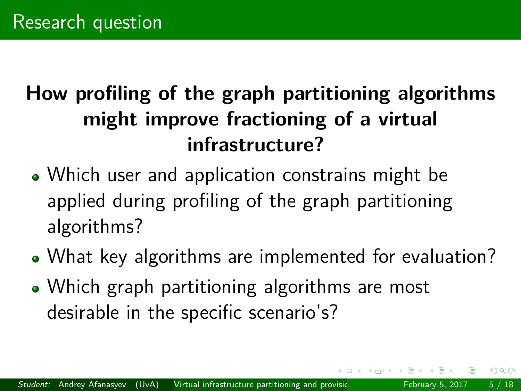# **How profiling of the graph partitioning algorithms might improve fractioning of a virtual infrastructure?**

- Which user and application constrains might be applied during profiling of the graph partitioning algorithms?
- What key algorithms are implemented for evaluation?
- Which graph partitioning algorithms are most desirable in the specific scenario's?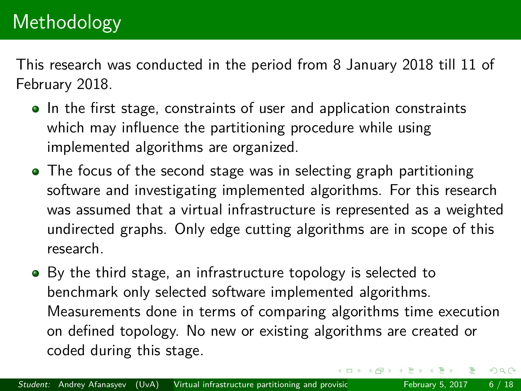This research was conducted in the period from 8 January 2018 till 11 of February 2018.

- In the first stage, constraints of user and application constraints which may influence the partitioning procedure while using implemented algorithms are organized.
- The focus of the second stage was in selecting graph partitioning software and investigating implemented algorithms. For this research was assumed that a virtual infrastructure is represented as a weighted undirected graphs. Only edge cutting algorithms are in scope of this research.
- By the third stage, an infrastructure topology is selected to benchmark only selected software implemented algorithms. Measurements done in terms of comparing algorithms time execution on defined topology. No new or existing algorithms are created or coded during this stage.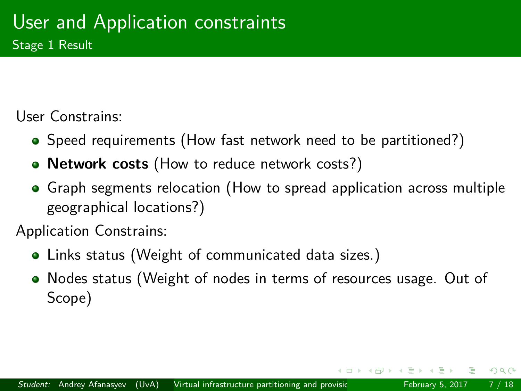User Constrains:

- Speed requirements (How fast network need to be partitioned?)
- **Network costs** (How to reduce network costs?)
- Graph segments relocation (How to spread application across multiple geographical locations?)

Application Constrains:

- Links status (Weight of communicated data sizes.)
- Nodes status (Weight of nodes in terms of resources usage. Out of Scope)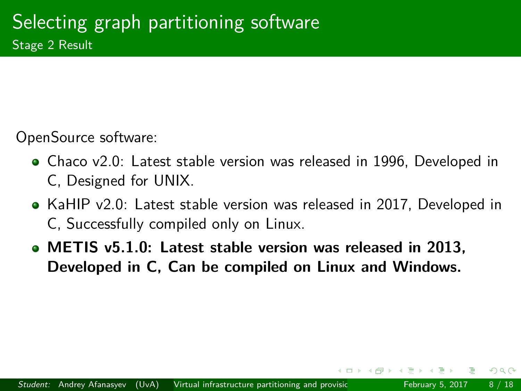OpenSource software:

- Chaco v2.0: Latest stable version was released in 1996, Developed in C, Designed for UNIX.
- KaHIP v2.0: Latest stable version was released in 2017, Developed in C, Successfully compiled only on Linux.
- **METIS v5.1.0: Latest stable version was released in 2013, Developed in C, Can be compiled on Linux and Windows.**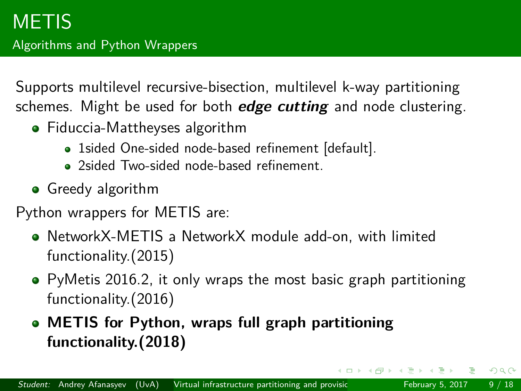Supports multilevel recursive-bisection, multilevel k-way partitioning schemes. Might be used for both **edge cutting** and node clustering.

- Fiduccia-Mattheyses algorithm
	- 1sided One-sided node-based refinement [default].
	- 2sided Two-sided node-based refinement.
- **•** Greedy algorithm

Python wrappers for METIS are:

- NetworkX-METIS a NetworkX module add-on, with limited functionality.(2015)
- PyMetis 2016.2, it only wraps the most basic graph partitioning functionality.(2016)
- **METIS for Python, wraps full graph partitioning functionality.(2018)**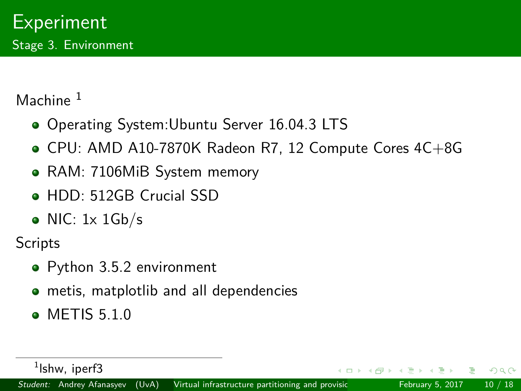Machine<sup>1</sup>

- Operating System: Ubuntu Server 16.04.3 LTS
- CPU: AMD A10-7870K Radeon R7, 12 Compute Cores 4C+8G
- RAM: 7106MiB System memory
- **HDD: 512GB Crucial SSD**
- $\bullet$  NIC: 1x 1Gb/s

**Scripts** 

- Python 3.5.2 environment
- **•** metis, matplotlib and all dependencies
- METIS 5.1.0

<sup>&</sup>lt;sup>1</sup>lshw, iperf3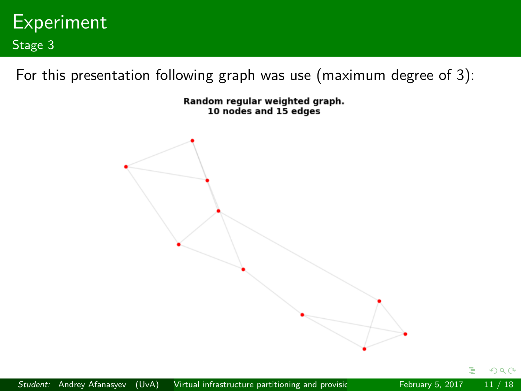

For this presentation following graph was use (maximum degree of 3):

Random regular weighted graph. 10 nodes and 15 edges

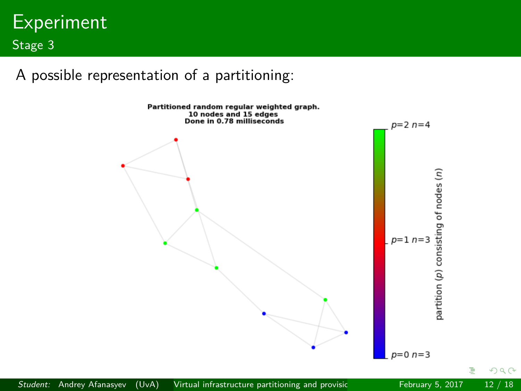

A possible representation of a partitioning:



Þ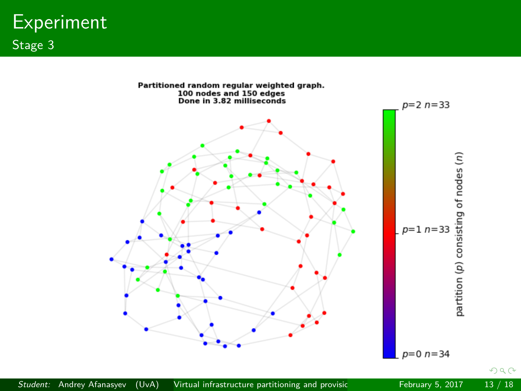**Experiment** Stage 3

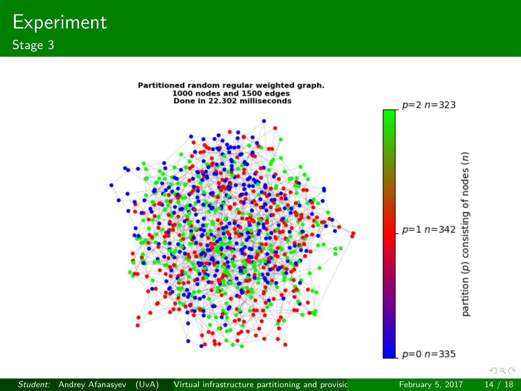**Experiment** Stage 3



Student: Andrey Afanasyev (UvA) Virtual infrastructure partitioning and provisic February 5, 2017 14 / 18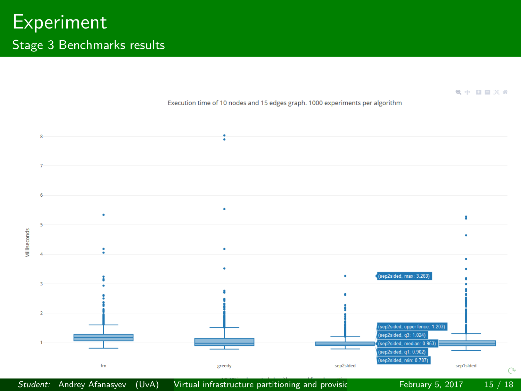

#### Student: Andrey Afanasyev (UvA) Virtual infrastructure partitioning and provisic February 5, 2017 15 / 18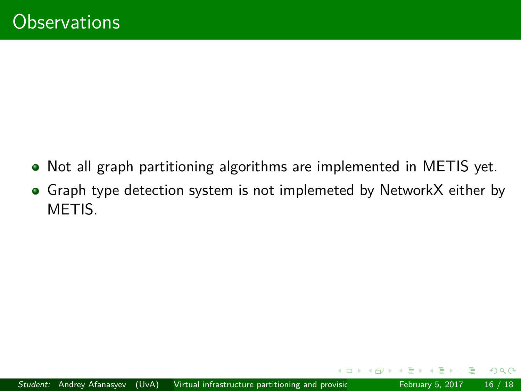- Not all graph partitioning algorithms are implemented in METIS yet.
- Graph type detection system is not implemeted by NetworkX either by METIS.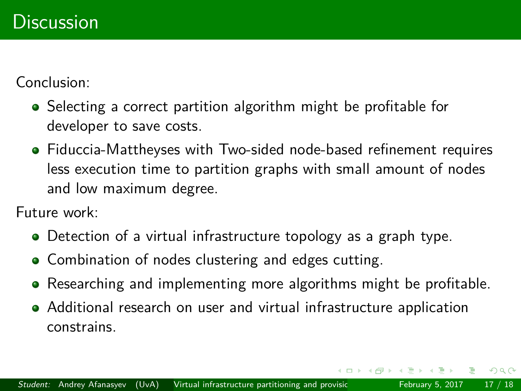Conclusion:

- Selecting a correct partition algorithm might be profitable for developer to save costs.
- Fiduccia-Mattheyses with Two-sided node-based refinement requires less execution time to partition graphs with small amount of nodes and low maximum degree.

Future work:

- Detection of a virtual infrastructure topology as a graph type.
- Combination of nodes clustering and edges cutting.
- Researching and implementing more algorithms might be profitable.
- Additional research on user and virtual infrastructure application constrains.